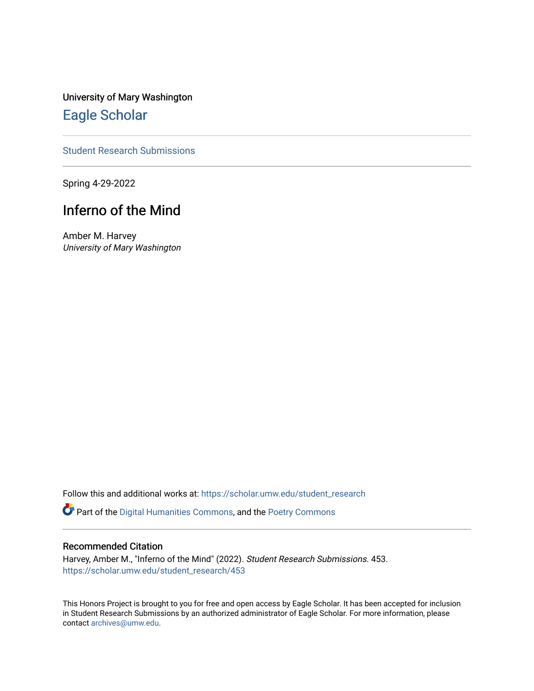## University of Mary Washington [Eagle Scholar](https://scholar.umw.edu/)

[Student Research Submissions](https://scholar.umw.edu/student_research) 

Spring 4-29-2022

# Inferno of the Mind

Amber M. Harvey University of Mary Washington

Follow this and additional works at: [https://scholar.umw.edu/student\\_research](https://scholar.umw.edu/student_research?utm_source=scholar.umw.edu%2Fstudent_research%2F453&utm_medium=PDF&utm_campaign=PDFCoverPages)

Part of the [Digital Humanities Commons](https://network.bepress.com/hgg/discipline/1286?utm_source=scholar.umw.edu%2Fstudent_research%2F453&utm_medium=PDF&utm_campaign=PDFCoverPages), and the [Poetry Commons](https://network.bepress.com/hgg/discipline/1153?utm_source=scholar.umw.edu%2Fstudent_research%2F453&utm_medium=PDF&utm_campaign=PDFCoverPages) 

#### Recommended Citation

Harvey, Amber M., "Inferno of the Mind" (2022). Student Research Submissions. 453. [https://scholar.umw.edu/student\\_research/453](https://scholar.umw.edu/student_research/453?utm_source=scholar.umw.edu%2Fstudent_research%2F453&utm_medium=PDF&utm_campaign=PDFCoverPages)

This Honors Project is brought to you for free and open access by Eagle Scholar. It has been accepted for inclusion in Student Research Submissions by an authorized administrator of Eagle Scholar. For more information, please contact [archives@umw.edu](mailto:archives@umw.edu).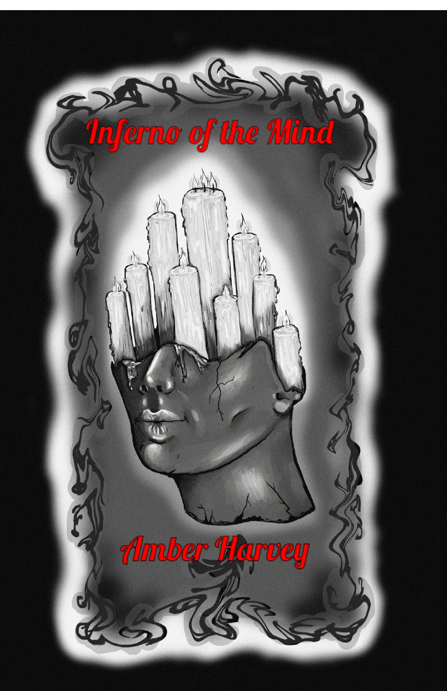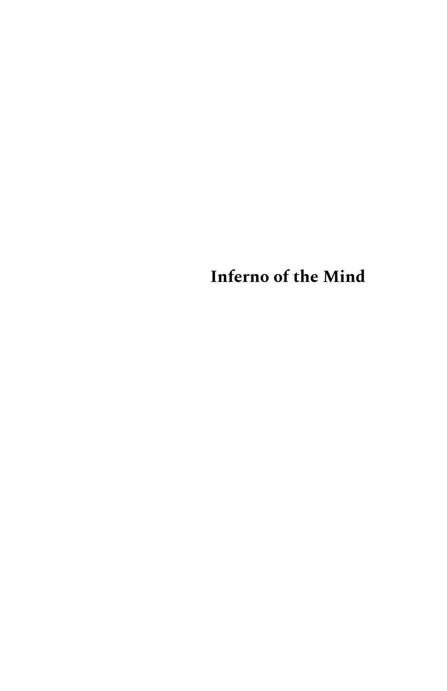**Inferno of the Mind**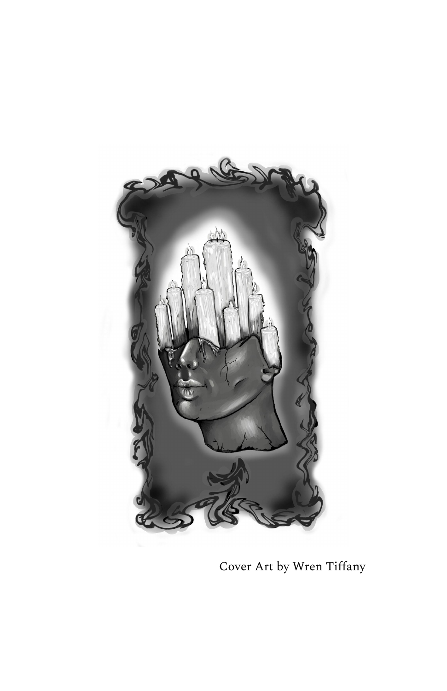

Cover Art by Wren Tiffany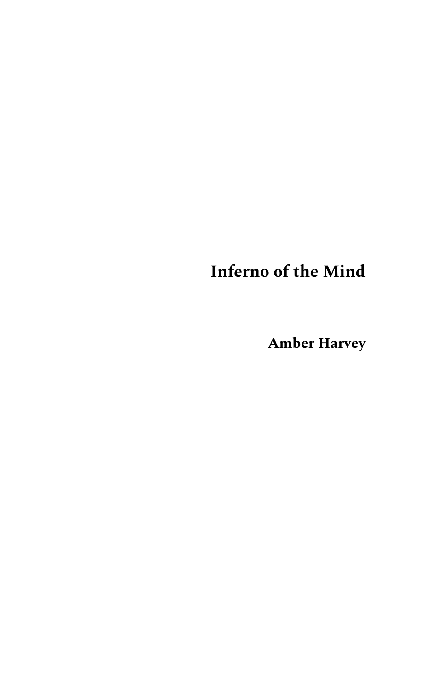# **Inferno of the Mind**

**Amber Harvey**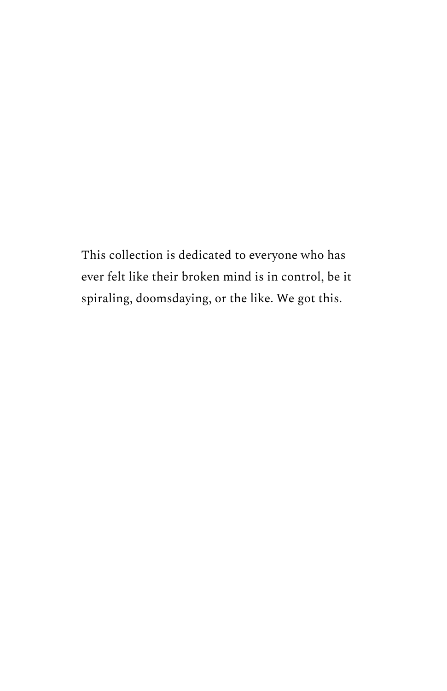This collection is dedicated to everyone who has ever felt like their broken mind is in control, be it spiraling, doomsdaying, or the like. We got this.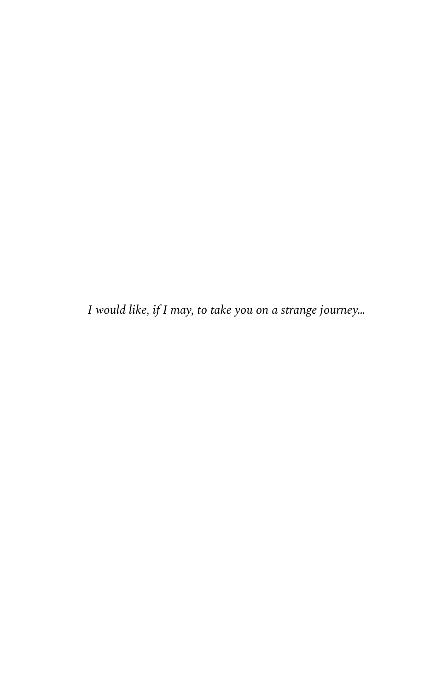*I would like, if I may, to take you on a strange journey…*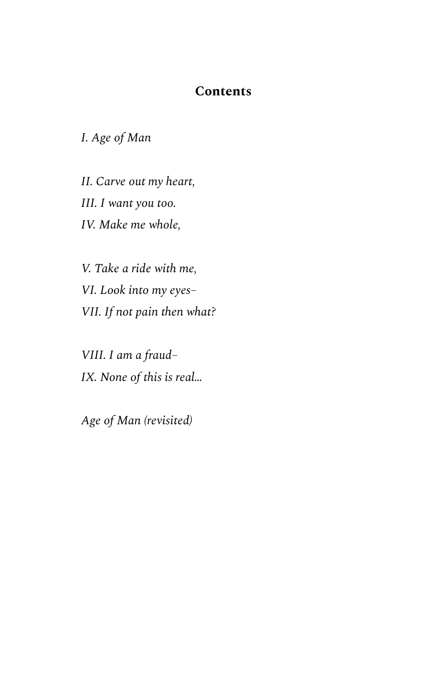#### **Contents**

*I. Age of Man*

*II. Carve out my heart, III. I want you too. IV. Make me whole,*

*V. Take a ride with me, VI. Look into my eyes– VII. If not pain then what?*

*VIII. I am a fraud– IX. None of this is real…*

*Age of Man (revisited)*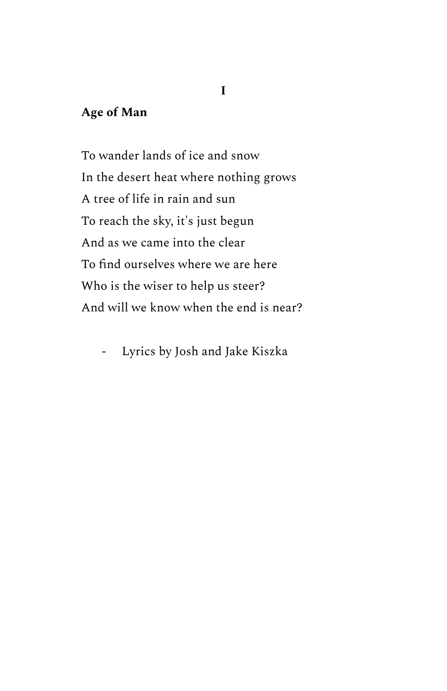#### **Age of Man**

To wander lands of ice and snow In the desert heat where nothing grows A tree of life in rain and sun To reach the sky, it's just begun And as we came into the clear To find ourselves where we are here Who is the wiser to help us steer? And will we know when the end is near?

- Lyrics by Josh and Jake Kiszka

**I**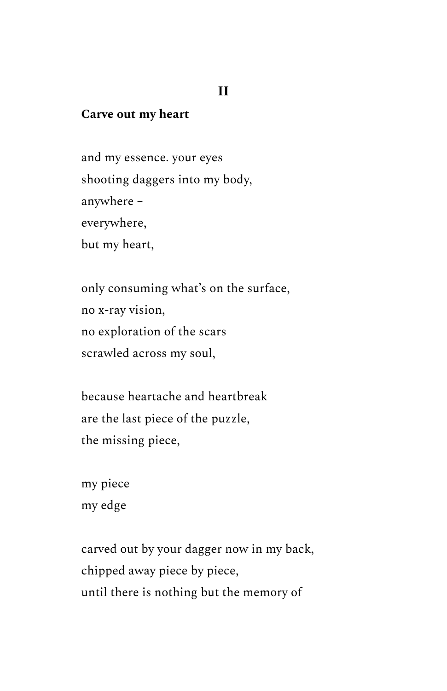#### **Carve out my heart**

and my essence. your eyes shooting daggers into my body, anywhere – everywhere, but my heart,

only consuming what's on the surface, no x-ray vision, no exploration of the scars scrawled across my soul,

because heartache and heartbreak are the last piece of the puzzle, the missing piece,

my piece my edge

carved out by your dagger now in my back, chipped away piece by piece, until there is nothing but the memory of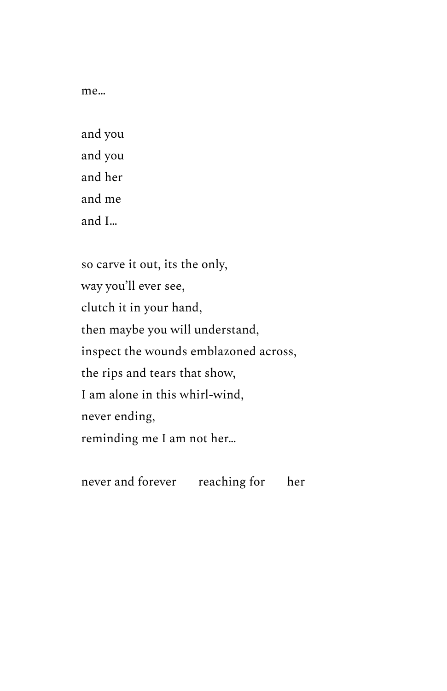me…

and you and you and her and me and I…

so carve it out, its the only, way you'll ever see, clutch it in your hand, then maybe you will understand, inspect the wounds emblazoned across, the rips and tears that show, I am alone in this whirl-wind, never ending, reminding me I am not her…

never and forever reaching for her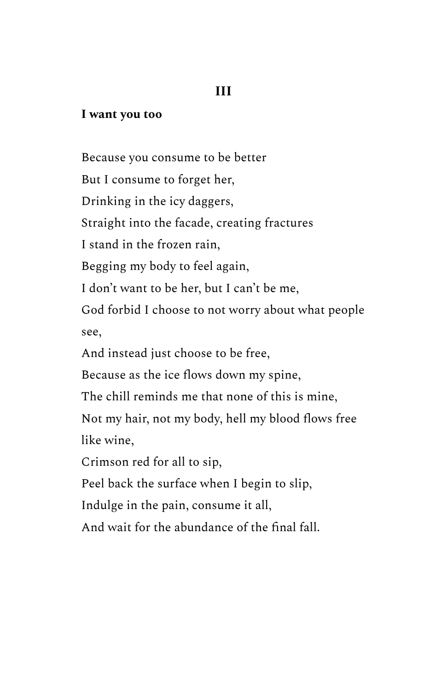#### **III**

#### **I want you too**

Because you consume to be better But I consume to forget her, Drinking in the icy daggers, Straight into the facade, creating fractures I stand in the frozen rain, Begging my body to feel again, I don't want to be her, but I can't be me, God forbid I choose to not worry about what people see, And instead just choose to be free, Because as the ice flows down my spine, The chill reminds me that none of this is mine, Not my hair, not my body, hell my blood flows free like wine, Crimson red for all to sip, Peel back the surface when I begin to slip, Indulge in the pain, consume it all, And wait for the abundance of the final fall.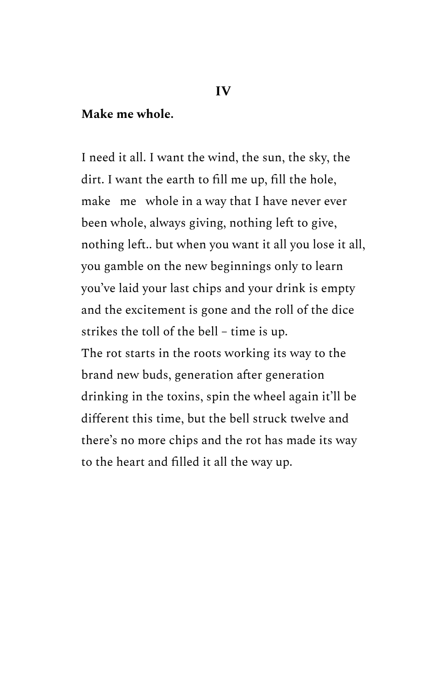#### **Make me whole.**

I need it all. I want the wind, the sun, the sky, the dirt. I want the earth to fill me up, fill the hole, make me whole in a way that I have never ever been whole, always giving, nothing left to give, nothing left.. but when you want it all you lose it all, you gamble on the new beginnings only to learn you've laid your last chips and your drink is empty and the excitement is gone and the roll of the dice strikes the toll of the bell – time is up. The rot starts in the roots working its way to the brand new buds, generation after generation drinking in the toxins, spin the wheel again it'll be different this time, but the bell struck twelve and there's no more chips and the rot has made its way to the heart and filled it all the way up.

**IV**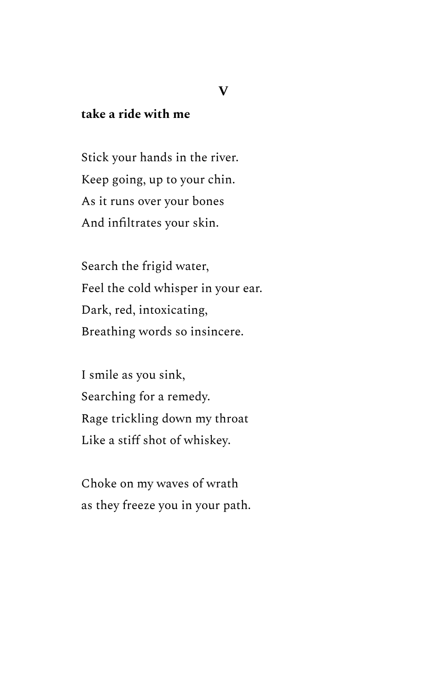#### **take a ride with me**

Stick your hands in the river. Keep going, up to your chin. As it runs over your bones And infiltrates your skin.

Search the frigid water, Feel the cold whisper in your ear. Dark, red, intoxicating, Breathing words so insincere.

I smile as you sink, Searching for a remedy. Rage trickling down my throat Like a stiff shot of whiskey.

Choke on my waves of wrath as they freeze you in your path.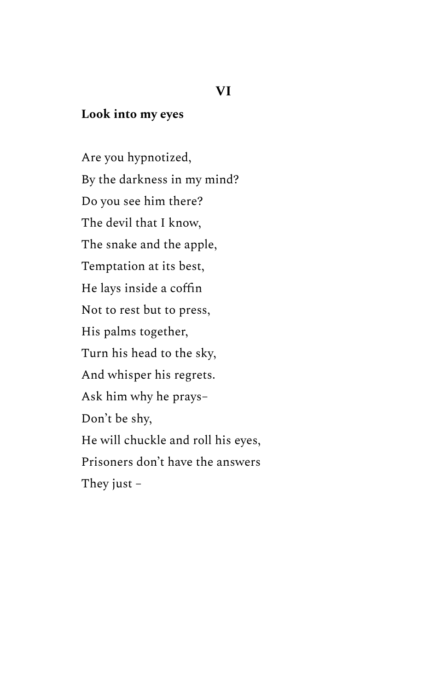#### **Look into my eyes**

Are you hypnotized, By the darkness in my mind? Do you see him there? The devil that I know, The snake and the apple, Temptation at its best, He lays inside a coffin Not to rest but to press, His palms together, Turn his head to the sky, And whisper his regrets. Ask him why he prays– Don't be shy, He will chuckle and roll his eyes, Prisoners don't have the answers They just –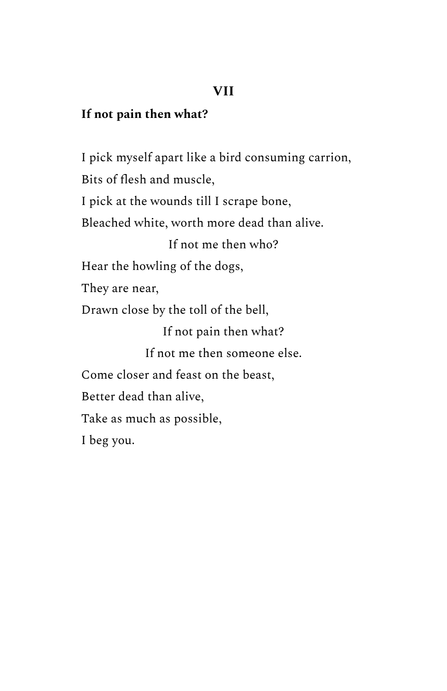## **VII**

#### **If not pain then what?**

I pick myself apart like a bird consuming carrion, Bits of flesh and muscle, I pick at the wounds till I scrape bone, Bleached white, worth more dead than alive. If not me then who? Hear the howling of the dogs, They are near, Drawn close by the toll of the bell, If not pain then what? If not me then someone else. Come closer and feast on the beast, Better dead than alive, Take as much as possible, I beg you.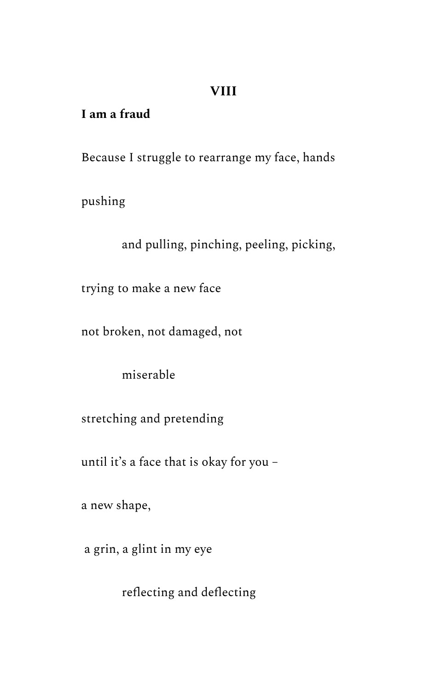## **VIII**

## **I am a fraud**

Because I struggle to rearrange my face, hands

pushing

and pulling, pinching, peeling, picking,

trying to make a new face

not broken, not damaged, not

miserable

stretching and pretending

until it's a face that is okay for you –

a new shape,

a grin, a glint in my eye

reflecting and deflecting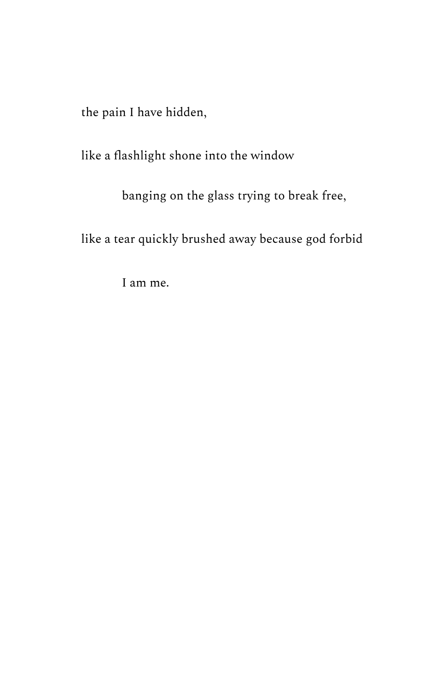the pain I have hidden,

like a flashlight shone into the window

banging on the glass trying to break free,

like a tear quickly brushed away because god forbid

I am me.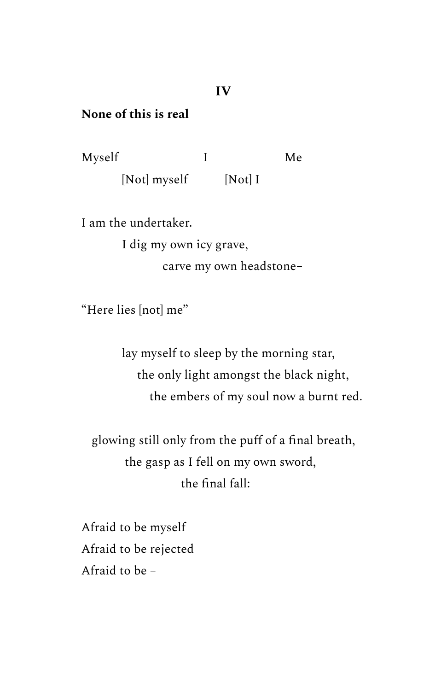**None of this is real**

Myself I Me [Not] myself [Not] I

I am the undertaker.

I dig my own icy grave, carve my own headstone–

"Here lies [not] me"

lay myself to sleep by the morning star, the only light amongst the black night, the embers of my soul now a burnt red.

glowing still only from the puff of a final breath, the gasp as I fell on my own sword, the final fall:

Afraid to be myself Afraid to be rejected Afraid to be –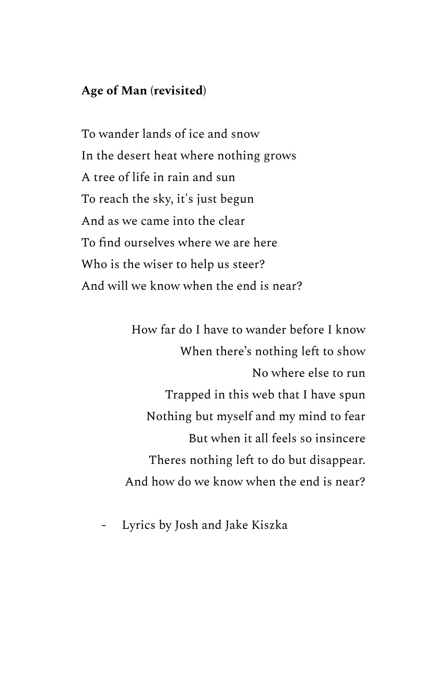#### **Age of Man (revisited)**

To wander lands of ice and snow In the desert heat where nothing grows A tree of life in rain and sun To reach the sky, it's just begun And as we came into the clear To find ourselves where we are here Who is the wiser to help us steer? And will we know when the end is near?

> How far do I have to wander before I know When there's nothing left to show No where else to run Trapped in this web that I have spun Nothing but myself and my mind to fear But when it all feels so insincere Theres nothing left to do but disappear. And how do we know when the end is near?

Lyrics by Josh and Jake Kiszka